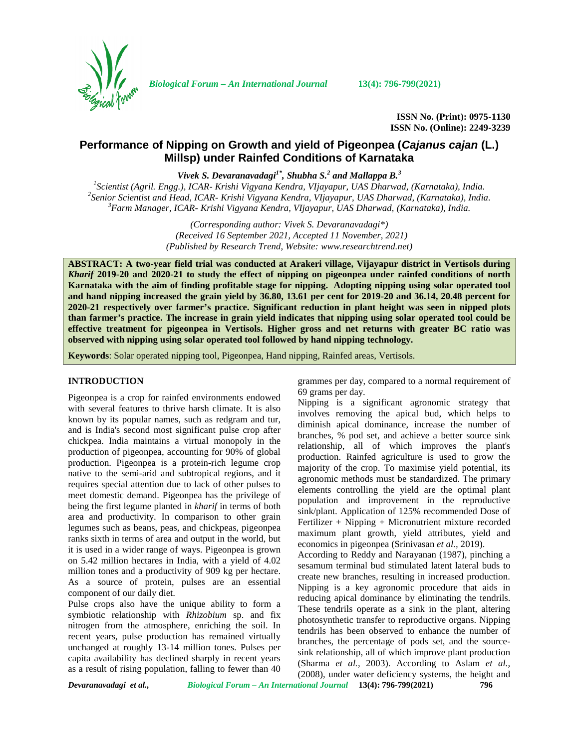

*Biological Forum – An International Journal* **13(4): 796-799(2021)**

**ISSN No. (Print): 0975-1130 ISSN No. (Online): 2249-3239**

# **Performance of Nipping on Growth and yield of Pigeonpea (***Cajanus cajan* **(L.) Millsp) under Rainfed Conditions of Karnataka**

*Vivek S. Devaranavadagi1\* , Shubha S.<sup>2</sup> and Mallappa B.<sup>3</sup>*

<sup>1</sup>Scientist (Agril. Engg.), ICAR- Krishi Vigyana Kendra, VIjayapur, UAS Dharwad, (Karnataka), India.<br><sup>2</sup>Senior Scientist and Head, ICAR- Krishi Vigyana Kendra, VIjayapur, UAS Dharwad, (Karnataka), India.<br><sup>3</sup>Farm Manager,

*(Corresponding author: Vivek S. Devaranavadagi\*) (Received 16 September 2021, Accepted 11 November, 2021) (Published by Research Trend, Website: [www.researchtrend.net\)](www.researchtrend.net)*

**ABSTRACT: A two-year field trial was conducted at Arakeri village, Vijayapur district in Vertisols during** *Kharif* **2019-20 and 2020-21 to study the effect of nipping on pigeonpea under rainfed conditions of north Karnataka with the aim of finding profitable stage for nipping. Adopting nipping using solar operated tool and hand nipping increased the grain yield by 36.80, 13.61 per cent for 2019-20 and 36.14, 20.48 percent for 2020-21 respectively over farmer's practice. Significant reduction in plant height was seen in nipped plots than farmer's practice. The increase in grain yield indicates that nipping using solar operated tool could be effective treatment for pigeonpea in Vertisols. Higher gross and net returns with greater BC ratio was observed with nipping using solar operated tool followed by hand nipping technology.**

**Keywords**: Solar operated nipping tool, Pigeonpea, Hand nipping, Rainfed areas, Vertisols.

#### **INTRODUCTION**

Pigeonpea is a crop for rainfed environments endowed with several features to thrive harsh climate. It is also known by its popular names, such as redgram and tur, and is India's second most significant pulse crop after chickpea. India maintains a virtual monopoly in the production of pigeonpea, accounting for 90% of global production. Pigeonpea is a protein-rich legume crop native to the semi-arid and subtropical regions, and it requires special attention due to lack of other pulses to meet domestic demand. Pigeonpea has the privilege of being the first legume planted in *kharif* in terms of both area and productivity. In comparison to other grain legumes such as beans, peas, and chickpeas, pigeonpea ranks sixth in terms of area and output in the world, but it is used in a wider range of ways. Pigeonpea is grown on 5.42 million hectares in India, with a yield of 4.02 million tones and a productivity of 909 kg per hectare. As a source of protein, pulses are an essential component of our daily diet.

Pulse crops also have the unique ability to form a symbiotic relationship with *Rhizobium* sp. and fix nitrogen from the atmosphere, enriching the soil. In recent years, pulse production has remained virtually unchanged at roughly 13-14 million tones. Pulses per capita availability has declined sharply in recent years as a result of rising population, falling to fewer than 40

grammes per day, compared to a normal requirement of 69 grams per day.

Nipping is a significant agronomic strategy that involves removing the apical bud, which helps to diminish apical dominance, increase the number of branches, % pod set, and achieve a better source sink relationship, all of which improves the plant's production. Rainfed agriculture is used to grow the majority of the crop. To maximise yield potential, its agronomic methods must be standardized. The primary elements controlling the yield are the optimal plant population and improvement in the reproductive sink/plant. Application of 125% recommended Dose of Fertilizer + Nipping + Micronutrient mixture recorded maximum plant growth, yield attributes, yield and economics in pigeonpea (Srinivasan *et al.,* 2019).

According to Reddy and Narayanan (1987), pinching a sesamum terminal bud stimulated latent lateral buds to create new branches, resulting in increased production. Nipping is a key agronomic procedure that aids in reducing apical dominance by eliminating the tendrils. These tendrils operate as a sink in the plant, altering photosynthetic transfer to reproductive organs. Nipping tendrils has been observed to enhance the number of branches, the percentage of pods set, and the source sink relationship, all of which improve plant production (Sharma *et al.,* 2003). According to Aslam *et al.,* (2008), under water deficiency systems, the height and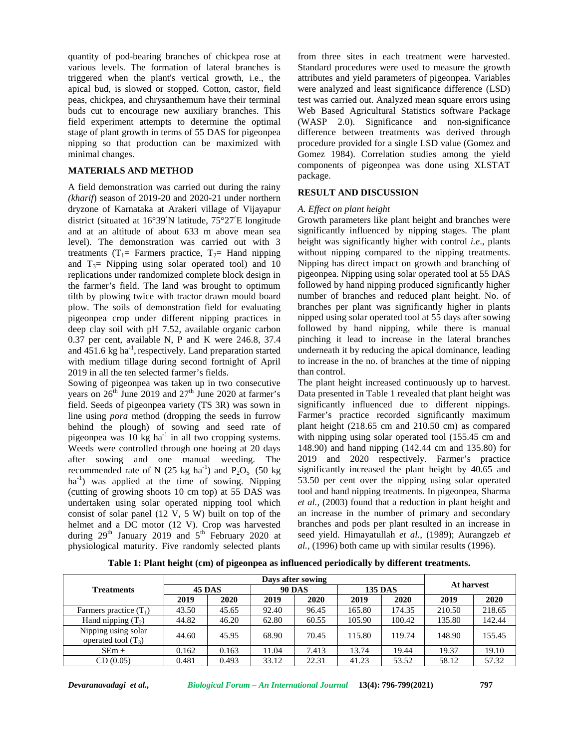quantity of pod-bearing branches of chickpea rose at various levels. The formation of lateral branches is triggered when the plant's vertical growth, i.e., the apical bud, is slowed or stopped. Cotton, castor, field peas, chickpea, and chrysanthemum have their terminal buds cut to encourage new auxiliary branches. This field experiment attempts to determine the optimal stage of plant growth in terms of 55 DAS for pigeonpea nipping so that production can be maximized with minimal changes.

# **MATERIALS AND METHOD**

A field demonstration was carried out during the rainy *(kharif*) season of 2019-20 and 2020-21 under northern dryzone of Karnataka at Arakeri village of Vijayapur district (situated at 16°39′N latitude, 75°27′E longitude and at an altitude of about 633 m above mean sea level). The demonstration was carried out with 3 treatments (T<sub>1</sub>= Farmers practice, T<sub>2</sub>= Hand nipping and  $T_3$ = Nipping using solar operated tool) and 10 replications under randomized complete block design in the farmer's field. The land was brought to optimum tilth by plowing twice with tractor drawn mould board plow. The soils of demonstration field for evaluating pigeonpea crop under different nipping practices in deep clay soil with pH 7.52, available organic carbon 0.37 per cent, available N, P and K were 246.8, 37.4 and  $\overline{451.6}$  kg ha<sup>-1</sup>, respectively. Land preparation started unde with medium tillage during second fortnight of April 2019 in all the ten selected farmer's fields.

Sowing of pigeonpea was taken up in two consecutive years on  $26<sup>th</sup>$  June 2019 and  $27<sup>th</sup>$  June 2020 at farmer's field. Seeds of pigeonpea variety (TS 3R) was sown in line using *pora* method (dropping the seeds in furrow behind the plough) of sowing and seed rate of pigeonpea was  $10 \text{ kg}$  ha<sup>-1</sup> in all two cropping systems. Weeds were controlled through one hoeing at 20 days after sowing and one manual weeding. The recommended rate of N (25 kg ha<sup>-1</sup>) and  $P_2O_5$  (50 kg  $ha^{-1}$ ) was applied at the time of sowing. Nipping (cutting of growing shoots 10 cm top) at 55 DAS was undertaken using solar operated nipping tool which consist of solar panel (12 V, 5 W) built on top of the helmet and a DC motor (12 V). Crop was harvested during  $29^{th}$  January 2019 and  $5^{th}$  February 2020 at s physiological maturity. Five randomly selected plants

from three sites in each treatment were harvested. Standard procedures were used to measure the growth attributes and yield parameters of pigeonpea. Variables were analyzed and least significance difference (LSD) test was carried out. Analyzed mean square errors using Web Based Agricultural Statistics software Package (WASP 2.0). Significance and non-significance difference between treatments was derived through procedure provided for a single LSD value (Gomez and Gomez 1984). Correlation studies among the yield components of pigeonpea was done using XLSTAT package.

## **RESULT AND DISCUSSION**

#### *A. Effect on plant height*

Growth parameters like plant height and branches were significantly influenced by nipping stages. The plant height was significantly higher with control *i.e*., plants without nipping compared to the nipping treatments. Nipping has direct impact on growth and branching of pigeonpea. Nipping using solar operated tool at 55 DAS followed by hand nipping produced significantly higher number of branches and reduced plant height. No. of branches per plant was significantly higher in plants nipped using solar operated tool at 55 days after sowing followed by hand nipping, while there is manual pinching it lead to increase in the lateral branches underneath it by reducing the apical dominance, leading to increase in the no. of branches at the time of nipping than control.

The plant height increased continuously up to harvest. Data presented in Table 1 revealed that plant height was significantly influenced due to different nippings. Farmer's practice recorded significantly maximum plant height (218.65 cm and 210.50 cm) as compared with nipping using solar operated tool (155.45 cm and 148.90) and hand nipping (142.44 cm and 135.80) for 2019 and 2020 respectively. Farmer's practice significantly increased the plant height by 40.65 and 53.50 per cent over the nipping using solar operated tool and hand nipping treatments. In pigeonpea, Sharma *et al.,* (2003) found that a reduction in plant height and an increase in the number of primary and secondary branches and pods per plant resulted in an increase in seed yield. Himayatullah *et al.,* (1989); Aurangzeb *et al.,* (1996) both came up with similar results (1996).

| <b>Treatments</b>                            | Days after sowing |       |               |       |                |        |            |        |  |
|----------------------------------------------|-------------------|-------|---------------|-------|----------------|--------|------------|--------|--|
|                                              | <b>45 DAS</b>     |       | <b>90 DAS</b> |       | <b>135 DAS</b> |        | At harvest |        |  |
|                                              | 2019              | 2020  | 2019          | 2020  | 2019           | 2020   | 2019       | 2020   |  |
| Farmers practice $(T_1)$                     | 43.50             | 45.65 | 92.40         | 96.45 | 165.80         | 174.35 | 210.50     | 218.65 |  |
| Hand nipping $(T_2)$                         | 44.82             | 46.20 | 62.80         | 60.55 | 105.90         | 100.42 | 135.80     | 142.44 |  |
| Nipping using solar<br>operated tool $(T_3)$ | 44.60             | 45.95 | 68.90         | 70.45 | 115.80         | 119.74 | 148.90     | 155.45 |  |
| $SEm \pm$                                    | 0.162             | 0.163 | 11.04         | 7.413 | 13.74          | 19.44  | 19.37      | 19.10  |  |

**Table 1: Plant height (cm) of pigeonpea as influenced periodically by different treatments.**

CD (0.05) 0.481 0.493 33.12 22.31 41.23 53.52 58.12 57.32

 $\text{SEM} \pm$  0.162 0.163 11.04 7.413 13.74 19.44 19.37 19.10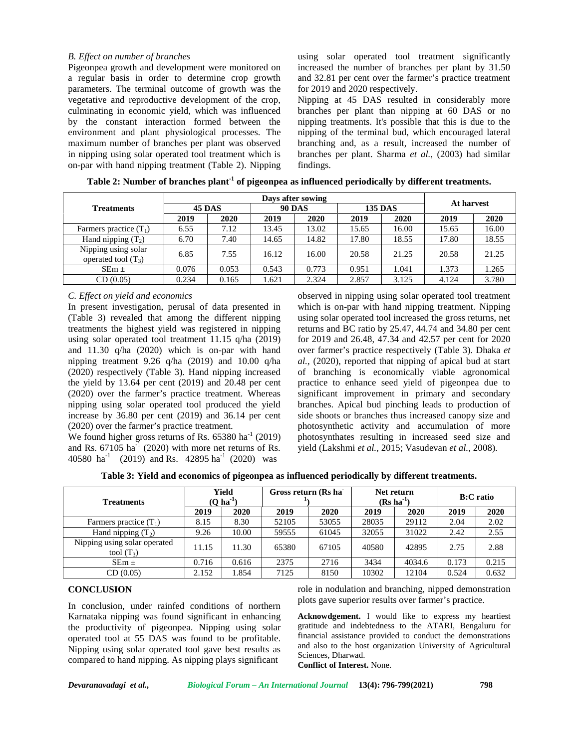## *B. Effect on number of branches*

Pigeonpea growth and development were monitored on a regular basis in order to determine crop growth parameters. The terminal outcome of growth was the vegetative and reproductive development of the crop, culminating in economic yield, which was influenced by the constant interaction formed between the environment and plant physiological processes. The maximum number of branches per plant was observed in nipping using solar operated tool treatment which is on-par with hand nipping treatment (Table 2).Nipping using solar operated tool treatment significantly increased the number of branches per plant by 31.50 and 32.81 per cent over the farmer's practice treatment for 2019 and 2020 respectively.

Nipping at 45 DAS resulted in considerably more branches per plant than nipping at 60 DAS or no nipping treatments. It's possible that this is due to the nipping of the terminal bud, which encouraged lateral branching and, as a result, increased the number of branches per plant. Sharma *et al.,* (2003) had similar findings.

| <b>Treatments</b>                            | Days after sowing |       |               |       |                |       |            |       |  |
|----------------------------------------------|-------------------|-------|---------------|-------|----------------|-------|------------|-------|--|
|                                              | <b>45 DAS</b>     |       | <b>90 DAS</b> |       | <b>135 DAS</b> |       | At harvest |       |  |
|                                              | 2019              | 2020  | 2019          | 2020  | 2019           | 2020  | 2019       | 2020  |  |
| Farmers practice $(T_1)$                     | 6.55              | 7.12  | 13.45         | 13.02 | 15.65          | 16.00 | 15.65      | 16.00 |  |
| Hand nipping $(T_2)$                         | 6.70              | 7.40  | 14.65         | 14.82 | 17.80          | 18.55 | 17.80      | 18.55 |  |
| Nipping using solar<br>operated tool $(T_3)$ | 6.85              | 7.55  | 16.12         | 16.00 | 20.58          | 21.25 | 20.58      | 21.25 |  |
| $SEm \pm$                                    | 0.076             | 0.053 | 0.543         | 0.773 | 0.951          | 1.041 | 1.373      | 1.265 |  |
| CD(0.05)                                     | 0.234             | 0.165 | 1.621         | 2.324 | 2.857          | 3.125 | 4.124      | 3.780 |  |

**Table 2: Number of branches plant-1 of pigeonpea as influenced periodically by different treatments.**

#### *C. Effect on yield and economics*

In present investigation, perusal of data presented in (Table 3) revealed that among the different nipping treatments the highest yield was registered in nipping using solar operated tool treatment 11.15 q/ha (2019) and 11.30 q/ha (2020) which is on-par with hand nipping treatment 9.26 q/ha (2019) and 10.00 q/ha (2020) respectively (Table 3). Hand nipping increased the yield by 13.64 per cent (2019) and 20.48 per cent (2020) over the farmer's practice treatment. Whereas nipping using solar operated tool produced the yield increase by 36.80 per cent (2019) and 36.14 per cent (2020) over the farmer's practice treatment.

We found higher gross returns of Rs. 65380 ha<sup>-1</sup> (2019) and Rs.  $67105$  ha<sup>-1</sup> (2020) with more net returns of Rs. 40580 ha<sup>-1</sup> (2019) and Rs. 42895 ha<sup>-1</sup> (2020) was

observed in nipping using solar operated tool treatment which is on-par with hand nipping treatment. Nipping using solar operated tool increased the gross returns, net returns and BC ratio by 25.47, 44.74 and 34.80 per cent for 2019 and 26.48, 47.34 and 42.57 per cent for 2020 over farmer's practice respectively (Table 3). Dhaka *et al.,* (2020), reported that nipping of apical bud at start of branching is economically viable agronomical practice to enhance seed yield of pigeonpea due to significant improvement in primary and secondary branches. Apical bud pinching leads to production of side shoots or branches thus increased canopy size and photosynthetic activity and accumulation of more photosynthates resulting in increased seed size and yield (Lakshmi *et al.,* 2015; Vasudevan *et al.,* 2008).

**Table 3: Yield and economics of pigeonpea as influenced periodically by different treatments.**

| <b>Treatments</b>                            | Yield<br>$(O \, ha^{-1})$ |       | Gross return (Rs ha |       | Net return<br>$(Rs ha^{-1})$ |        | <b>B:C</b> ratio |       |
|----------------------------------------------|---------------------------|-------|---------------------|-------|------------------------------|--------|------------------|-------|
|                                              | 2019                      | 2020  | 2019                | 2020  | 2019                         | 2020   | 2019             | 2020  |
| Farmers practice $(T_1)$                     | 8.15                      | 8.30  | 52105               | 53055 | 28035                        | 29112  | 2.04             | 2.02  |
| Hand nipping $(T_2)$                         | 9.26                      | 10.00 | 59555               | 61045 | 32055                        | 31022  | 2.42             | 2.55  |
| Nipping using solar operated<br>tool $(T_3)$ | 11.15                     | 11.30 | 65380               | 67105 | 40580                        | 42895  | 2.75             | 2.88  |
| $SEm \pm$                                    | 0.716                     | 0.616 | 2375                | 2716  | 3434                         | 4034.6 | 0.173            | 0.215 |
| CD(0.05)                                     | 2.152                     | l.854 | 7125                | 8150  | 10302                        | 12104  | 0.524            | 0.632 |

# **CONCLUSION**

In conclusion, under rainfed conditions of northern Karnataka nipping was found significant in enhancing the productivity of pigeonpea. Nipping using solar operated tool at 55 DAS was found to be profitable. Nipping using solar operated tool gave best results as compared to hand nipping. As nipping plays significant

role in nodulation and branching, nipped demonstration plots gave superior results over farmer's practice.

**Acknowdgement.** I would like to express my heartiest gratitude and indebtedness to the ATARI, Bengaluru for financial assistance provided to conduct the demonstrations and also to the host organization University of Agricultural Sciences, Dharwad.

**Conflict of Interest.** None.